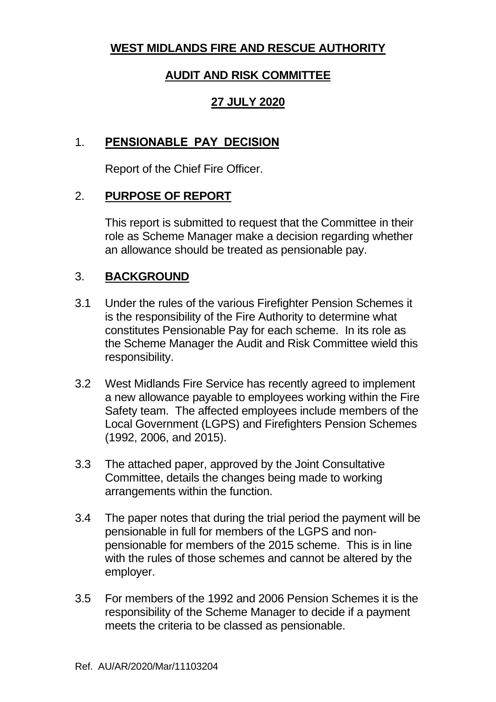# **WEST MIDLANDS FIRE AND RESCUE AUTHORITY**

# **AUDIT AND RISK COMMITTEE**

### **27 JULY 2020**

### 1. **PENSIONABLE PAY DECISION**

Report of the Chief Fire Officer.

### 2. **PURPOSE OF REPORT**

This report is submitted to request that the Committee in their role as Scheme Manager make a decision regarding whether an allowance should be treated as pensionable pay.

### 3. **BACKGROUND**

- 3.1 Under the rules of the various Firefighter Pension Schemes it is the responsibility of the Fire Authority to determine what constitutes Pensionable Pay for each scheme. In its role as the Scheme Manager the Audit and Risk Committee wield this responsibility.
- 3.2 West Midlands Fire Service has recently agreed to implement a new allowance payable to employees working within the Fire Safety team. The affected employees include members of the Local Government (LGPS) and Firefighters Pension Schemes (1992, 2006, and 2015).
- 3.3 The attached paper, approved by the Joint Consultative Committee, details the changes being made to working arrangements within the function.
- 3.4 The paper notes that during the trial period the payment will be pensionable in full for members of the LGPS and nonpensionable for members of the 2015 scheme. This is in line with the rules of those schemes and cannot be altered by the employer.
- 3.5 For members of the 1992 and 2006 Pension Schemes it is the responsibility of the Scheme Manager to decide if a payment meets the criteria to be classed as pensionable.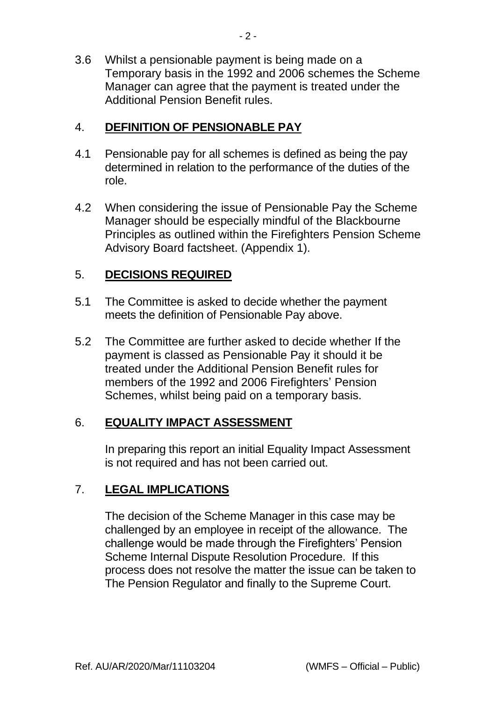3.6 Whilst a pensionable payment is being made on a Temporary basis in the 1992 and 2006 schemes the Scheme Manager can agree that the payment is treated under the Additional Pension Benefit rules.

### 4. **DEFINITION OF PENSIONABLE PAY**

- 4.1 Pensionable pay for all schemes is defined as being the pay determined in relation to the performance of the duties of the role.
- 4.2 When considering the issue of Pensionable Pay the Scheme Manager should be especially mindful of the Blackbourne Principles as outlined within the Firefighters Pension Scheme Advisory Board factsheet. (Appendix 1).

### 5. **DECISIONS REQUIRED**

- 5.1 The Committee is asked to decide whether the payment meets the definition of Pensionable Pay above.
- 5.2 The Committee are further asked to decide whether If the payment is classed as Pensionable Pay it should it be treated under the Additional Pension Benefit rules for members of the 1992 and 2006 Firefighters' Pension Schemes, whilst being paid on a temporary basis.

### 6. **EQUALITY IMPACT ASSESSMENT**

In preparing this report an initial Equality Impact Assessment is not required and has not been carried out.

### 7. **LEGAL IMPLICATIONS**

The decision of the Scheme Manager in this case may be challenged by an employee in receipt of the allowance. The challenge would be made through the Firefighters' Pension Scheme Internal Dispute Resolution Procedure. If this process does not resolve the matter the issue can be taken to The Pension Regulator and finally to the Supreme Court.